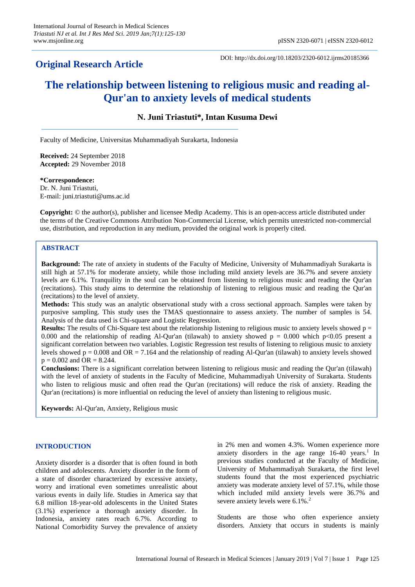## **Original Research Article**

DOI: http://dx.doi.org/10.18203/2320-6012.ijrms20185366

# **The relationship between listening to religious music and reading al-Qur'an to anxiety levels of medical students**

**N. Juni Triastuti\*, Intan Kusuma Dewi**

Faculty of Medicine, Universitas Muhammadiyah Surakarta, Indonesia

**Received:** 24 September 2018 **Accepted:** 29 November 2018

**\*Correspondence:** Dr. N. Juni Triastuti, E-mail: juni.triastuti@ums.ac.id

**Copyright:** © the author(s), publisher and licensee Medip Academy. This is an open-access article distributed under the terms of the Creative Commons Attribution Non-Commercial License, which permits unrestricted non-commercial use, distribution, and reproduction in any medium, provided the original work is properly cited.

## **ABSTRACT**

**Background:** The rate of anxiety in students of the Faculty of Medicine, University of Muhammadiyah Surakarta is still high at 57.1% for moderate anxiety, while those including mild anxiety levels are 36.7% and severe anxiety levels are 6.1%. Tranquility in the soul can be obtained from listening to religious music and reading the Qur'an (recitations). This study aims to determine the relationship of listening to religious music and reading the Qur'an (recitations) to the level of anxiety.

**Methods:** This study was an analytic observational study with a cross sectional approach. Samples were taken by purposive sampling. This study uses the TMAS questionnaire to assess anxiety. The number of samples is 54. Analysis of the data used is Chi-square and Logistic Regression.

**Results:** The results of Chi-Square test about the relationship listening to religious music to anxiety levels showed  $p =$ 0.000 and the relationship of reading Al-Qur'an (tilawah) to anxiety showed  $p = 0.000$  which p<0.05 present a significant correlation between two variables. Logistic Regression test results of listening to religious music to anxiety levels showed  $p = 0.008$  and  $OR = 7.164$  and the relationship of reading Al-Qur'an (tilawah) to anxiety levels showed  $p = 0.002$  and OR = 8.244.

**Conclusions:** There is a significant correlation between listening to religious music and reading the Qur'an (tilawah) with the level of anxiety of students in the Faculty of Medicine, Muhammadiyah University of Surakarta. Students who listen to religious music and often read the Qur'an (recitations) will reduce the risk of anxiety. Reading the Qur'an (recitations) is more influential on reducing the level of anxiety than listening to religious music.

**Keywords:** Al-Qur'an, Anxiety, Religious music

## **INTRODUCTION**

Anxiety disorder is a disorder that is often found in both children and adolescents. Anxiety disorder in the form of a state of disorder characterized by excessive anxiety, worry and irrational even sometimes unrealistic about various events in daily life. Studies in America say that 6.8 million 18-year-old adolescents in the United States (3.1%) experience a thorough anxiety disorder. In Indonesia, anxiety rates reach 6.7%. According to National Comorbidity Survey the prevalence of anxiety in 2% men and women 4.3%. Women experience more anxiety disorders in the age range  $16-40$  years.<sup>1</sup> In previous studies conducted at the Faculty of Medicine, University of Muhammadiyah Surakarta, the first level students found that the most experienced psychiatric anxiety was moderate anxiety level of 57.1%, while those which included mild anxiety levels were 36.7% and severe anxiety levels were 6.1%.<sup>2</sup>

Students are those who often experience anxiety disorders. Anxiety that occurs in students is mainly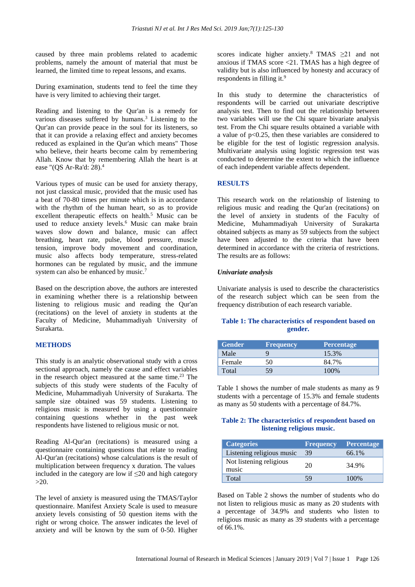caused by three main problems related to academic problems, namely the amount of material that must be learned, the limited time to repeat lessons, and exams.

During examination, students tend to feel the time they have is very limited to achieving their target.

Reading and listening to the Qur'an is a remedy for various diseases suffered by humans. <sup>3</sup> Listening to the Qur'an can provide peace in the soul for its listeners, so that it can provide a relaxing effect and anxiety becomes reduced as explained in the Qur'an which means" Those who believe, their hearts become calm by remembering Allah. Know that by remembering Allah the heart is at ease "(QS Ar-Ra'd: 28).<sup>4</sup>

Various types of music can be used for anxiety therapy, not just classical music, provided that the music used has a beat of 70-80 times per minute which is in accordance with the rhythm of the human heart, so as to provide excellent therapeutic effects on health. <sup>5</sup> Music can be used to reduce anxiety levels. <sup>6</sup> Music can make brain waves slow down and balance, music can affect breathing, heart rate, pulse, blood pressure, muscle tension, improve body movement and coordination, music also affects body temperature, stress-related hormones can be regulated by music, and the immune system can also be enhanced by music.<sup>7</sup>

Based on the description above, the authors are interested in examining whether there is a relationship between listening to religious music and reading the Qur'an (recitations) on the level of anxiety in students at the Faculty of Medicine, Muhammadiyah University of Surakarta.

## **METHODS**

This study is an analytic observational study with a cross sectional approach, namely the cause and effect variables in the research object measured at the same time. <sup>23</sup> The subjects of this study were students of the Faculty of Medicine, Muhammadiyah University of Surakarta. The sample size obtained was 59 students. Listening to religious music is measured by using a questionnaire containing questions whether in the past week respondents have listened to religious music or not.

Reading Al-Qur'an (recitations) is measured using a questionnaire containing questions that relate to reading Al-Qur'an (recitations) whose calculations is the result of multiplication between frequency x duration. The values included in the category are low if  $\leq 20$  and high category  $>20$ .

The level of anxiety is measured using the TMAS/Taylor questionnaire. Manifest Anxiety Scale is used to measure anxiety levels consisting of 50 question items with the right or wrong choice. The answer indicates the level of anxiety and will be known by the sum of 0-50. Higher

scores indicate higher anxiety.<sup>8</sup> TMAS  $\geq$ 21 and not anxious if TMAS score <21. TMAS has a high degree of validity but is also influenced by honesty and accuracy of respondents in filling it.<sup>9</sup>

In this study to determine the characteristics of respondents will be carried out univariate descriptive analysis test. Then to find out the relationship between two variables will use the Chi square bivariate analysis test. From the Chi square results obtained a variable with a value of  $p<0.25$ , then these variables are considered to be eligible for the test of logistic regression analysis. Multivariate analysis using logistic regression test was conducted to determine the extent to which the influence of each independent variable affects dependent.

## **RESULTS**

This research work on the relationship of listening to religious music and reading the Qur'an (recitations) on the level of anxiety in students of the Faculty of Medicine, Muhammadiyah University of Surakarta obtained subjects as many as 59 subjects from the subject have been adjusted to the criteria that have been determined in accordance with the criteria of restrictions. The results are as follows:

#### *Univariate analysis*

Univariate analysis is used to describe the characteristics of the research subject which can be seen from the frequency distribution of each research variable.

## **Table 1: The characteristics of respondent based on gender.**

| <b>Gender</b> | <b>Frequency</b> | <b>Percentage</b> |
|---------------|------------------|-------------------|
| Male          |                  | 15.3%             |
| Female        | 50               | 84.7%             |
| Total         | 59               | 100%              |

Table 1 shows the number of male students as many as 9 students with a percentage of 15.3% and female students as many as 50 students with a percentage of 84.7%.

## **Table 2: The characteristics of respondent based on listening religious music.**

| <b>Categories</b>                | <b>Frequency</b> | <b>Percentage</b> |
|----------------------------------|------------------|-------------------|
| Listening religious music        | 39               | 66.1%             |
| Not listening religious<br>music | 20               | 34.9%             |
| Total                            | 59               | 100%              |

Based on Table 2 shows the number of students who do not listen to religious music as many as 20 students with a percentage of 34.9% and students who listen to religious music as many as 39 students with a percentage of 66.1%.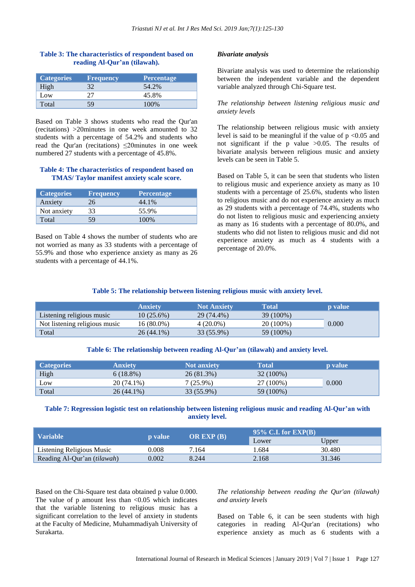### **Table 3: The characteristics of respondent based on reading Al-Qur'an (tilawah).**

| <b>Categories</b> | <b>Frequency</b> | <b>Percentage</b> |
|-------------------|------------------|-------------------|
| High              |                  | 54.2%             |
| Low               |                  | 45.8%             |
| Total             | 59               | 100%              |

Based on Table 3 shows students who read the Qur'an (recitations) >20minutes in one week amounted to 32 students with a percentage of 54.2% and students who read the Qur'an (recitations) ≤20minutes in one week numbered 27 students with a percentage of 45.8%.

#### **Table 4: The characteristics of respondent based on TMAS/ Taylor manifest anxiety scale score.**

| <b>Categories</b> | <b>Frequency</b> | <b>Percentage</b> |
|-------------------|------------------|-------------------|
| Anxiety           | 26               | 44.1%             |
| Not anxiety       | 33               | 55.9%             |
| Total             | 59               | 100%              |

Based on Table 4 shows the number of students who are not worried as many as 33 students with a percentage of 55.9% and those who experience anxiety as many as 26 students with a percentage of 44.1%.

#### *Bivariate analysis*

Bivariate analysis was used to determine the relationship between the independent variable and the dependent variable analyzed through Chi-Square test.

#### *The relationship between listening religious music and anxiety levels*

The relationship between religious music with anxiety level is said to be meaningful if the value of  $p < 0.05$  and not significant if the p value  $>0.05$ . The results of bivariate analysis between religious music and anxiety levels can be seen in Table 5.

Based on Table 5, it can be seen that students who listen to religious music and experience anxiety as many as 10 students with a percentage of 25.6%, students who listen to religious music and do not experience anxiety as much as 29 students with a percentage of 74.4%, students who do not listen to religious music and experiencing anxiety as many as 16 students with a percentage of 80.0%, and students who did not listen to religious music and did not experience anxiety as much as 4 students with a percentage of 20.0%.

#### **Table 5: The relationship between listening religious music with anxiety level.**

|                               | Anxiety      | <b>Not Anxiety</b> | <b>Total</b> | <b>p</b> value |
|-------------------------------|--------------|--------------------|--------------|----------------|
| Listening religious music     | $10(25.6\%)$ | 29 (74.4%)         | 39 (100%)    |                |
| Not listening religious music | 16 (80.0%)   | $4(20.0\%)$        | 20 (100%)    | 0.000          |
| Total                         | 26 (44.1%)   | 33 (55.9%)         | 59 (100%)    |                |

#### **Table 6: The relationship between reading Al-Qur'an (tilawah) and anxiety level.**

| <b>Categories</b> | Anxietv      | <b>Not anxiety</b> | Total     | <b>p</b> value |
|-------------------|--------------|--------------------|-----------|----------------|
| High              | $6(18.8\%)$  | 26 (81.3%)         | 32 (100%) |                |
| Low               | 20 (74.1%)   | $7(25.9\%)$        | 27 (100%) | 0.000          |
| Total             | $26(44.1\%)$ | 33 (55.9%)         | 59 (100%) |                |

## **Table 7: Regression logistic test on relationship between listening religious music and reading Al-Qur'an with anxiety level.**

|                                    | <b>p</b> value | OR EXP $(B)$ | 95\% C.I. for $EXP(B)$ |        |
|------------------------------------|----------------|--------------|------------------------|--------|
| <b>Variable</b>                    |                |              | Lower                  | Upper  |
| Listening Religious Music          | 0.008          | 7.164        | .684                   | 30.480 |
| Reading Al-Qur'an <i>(tilawah)</i> | 0.002          | 8.244        | 2.168                  | 31.346 |

Based on the Chi-Square test data obtained p value 0.000. The value of  $p$  amount less than  $\langle 0.05 \rangle$  which indicates that the variable listening to religious music has a significant correlation to the level of anxiety in students at the Faculty of Medicine, Muhammadiyah University of Surakarta.

*The relationship between reading the Qur'an (tilawah) and anxiety levels*

Based on Table 6, it can be seen students with high categories in reading Al-Qur'an (recitations) who experience anxiety as much as 6 students with a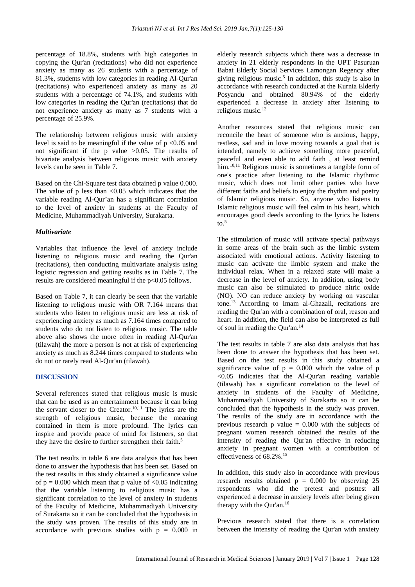percentage of 18.8%, students with high categories in copying the Qur'an (recitations) who did not experience anxiety as many as 26 students with a percentage of 81.3%, students with low categories in reading Al-Qur'an (recitations) who experienced anxiety as many as 20 students with a percentage of 74.1%, and students with low categories in reading the Qur'an (recitations) that do not experience anxiety as many as 7 students with a percentage of 25.9%.

The relationship between religious music with anxiety level is said to be meaningful if the value of  $p \le 0.05$  and not significant if the p value  $>0.05$ . The results of bivariate analysis between religious music with anxiety levels can be seen in Table 7.

Based on the Chi-Square test data obtained p value 0.000. The value of  $p$  less than  $\leq 0.05$  which indicates that the variable reading Al-Qur'an has a significant correlation to the level of anxiety in students at the Faculty of Medicine, Muhammadiyah University, Surakarta.

#### *Multivariate*

Variables that influence the level of anxiety include listening to religious music and reading the Qur'an (recitations), then conducting multivariate analysis using logistic regression and getting results as in Table 7. The results are considered meaningful if the p<0.05 follows.

Based on Table 7, it can clearly be seen that the variable listening to religious music with OR 7.164 means that students who listen to religious music are less at risk of experiencing anxiety as much as 7.164 times compared to students who do not listen to religious music. The table above also shows the more often in reading Al-Qur'an (tilawah) the more a person is not at risk of experiencing anxiety as much as 8.244 times compared to students who do not or rarely read Al-Qur'an (tilawah).

#### **DISCUSSION**

Several references stated that religious music is music that can be used as an entertainment because it can bring the servant closer to the Creator.<sup>10,11</sup> The lyrics are the strength of religious music, because the meaning contained in them is more profound. The lyrics can inspire and provide peace of mind for listeners, so that they have the desire to further strengthen their faith.<sup>5</sup>

The test results in table 6 are data analysis that has been done to answer the hypothesis that has been set. Based on the test results in this study obtained a significance value of  $p = 0.000$  which mean that p value of  $\langle 0.05 \rangle$  indicating that the variable listening to religious music has a significant correlation to the level of anxiety in students of the Faculty of Medicine, Muhammadiyah University of Surakarta so it can be concluded that the hypothesis in the study was proven. The results of this study are in accordance with previous studies with  $p = 0.000$  in elderly research subjects which there was a decrease in anxiety in 21 elderly respondents in the UPT Pasuruan Babat Elderly Social Services Lamongan Regency after giving religious music. 5 In addition, this study is also in accordance with research conducted at the Kurnia Elderly Posyandu and obtained 80.94% of the elderly experienced a decrease in anxiety after listening to religious music. 12

Another resources stated that religious music can reconcile the heart of someone who is anxious, happy, restless, sad and in love moving towards a goal that is intended, namely to achieve something more peaceful, peaceful and even able to add faith , at least remind him.<sup>10,11</sup> Religious music is sometimes a tangible form of one's practice after listening to the Islamic rhythmic music, which does not limit other parties who have different faiths and beliefs to enjoy the rhythm and poetry of Islamic religious music. So, anyone who listens to Islamic religious music will feel calm in his heart, which encourages good deeds according to the lyrics he listens to. 5

The stimulation of music will activate special pathways in some areas of the brain such as the limbic system associated with emotional actions. Activity listening to music can activate the limbic system and make the individual relax. When in a relaxed state will make a decrease in the level of anxiety. In addition, using body music can also be stimulated to produce nitric oxide (NO). NO can reduce anxiety by working on vascular tone. <sup>13</sup> According to Imam al-Ghazali, recitations are reading the Qur'an with a combination of oral, reason and heart. In addition, the field can also be interpreted as full of soul in reading the Qur'an. 14

The test results in table 7 are also data analysis that has been done to answer the hypothesis that has been set. Based on the test results in this study obtained a significance value of  $p = 0.000$  which the value of p <0.05 indicates that the Al-Qur'an reading variable (tilawah) has a significant correlation to the level of anxiety in students of the Faculty of Medicine, Muhammadiyah University of Surakarta so it can be concluded that the hypothesis in the study was proven. The results of the study are in accordance with the previous research p value  $= 0.000$  with the subjects of pregnant women research obtained the results of the intensity of reading the Qur'an effective in reducing anxiety in pregnant women with a contribution of effectiveness of 68.2%. 15

In addition, this study also in accordance with previous research results obtained  $p = 0.000$  by observing 25 respondents who did the pretest and posttest all experienced a decrease in anxiety levels after being given therapy with the Qur'an. 16

Previous research stated that there is a correlation between the intensity of reading the Qur'an with anxiety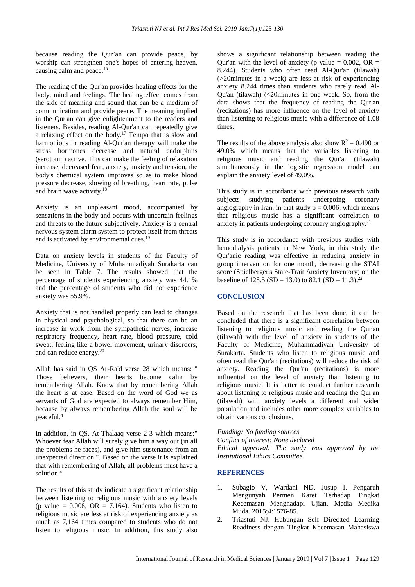because reading the Qur'an can provide peace, by worship can strengthen one's hopes of entering heaven, causing calm and peace. 15

The reading of the Qur'an provides healing effects for the body, mind and feelings. The healing effect comes from the side of meaning and sound that can be a medium of communication and provide peace. The meaning implied in the Qur'an can give enlightenment to the readers and listeners. Besides, reading Al-Qur'an can repeatedly give a relaxing effect on the body. <sup>17</sup> Tempo that is slow and harmonious in reading Al-Qur'an therapy will make the stress hormones decrease and natural endorphins (serotonin) active. This can make the feeling of relaxation increase, decreased fear, anxiety, anxiety and tension, the body's chemical system improves so as to make blood pressure decrease, slowing of breathing, heart rate, pulse and brain wave activity. 18

Anxiety is an unpleasant mood, accompanied by sensations in the body and occurs with uncertain feelings and threats to the future subjectively. Anxiety is a central nervous system alarm system to protect itself from threats and is activated by environmental cues.<sup>19</sup>

Data on anxiety levels in students of the Faculty of Medicine, University of Muhammadiyah Surakarta can be seen in Table 7. The results showed that the percentage of students experiencing anxiety was 44.1% and the percentage of students who did not experience anxiety was 55.9%.

Anxiety that is not handled properly can lead to changes in physical and psychological, so that there can be an increase in work from the sympathetic nerves, increase respiratory frequency, heart rate, blood pressure, cold sweat, feeling like a bowel movement, urinary disorders, and can reduce energy. 20

Allah has said in QS Ar-Ra'd verse 28 which means: " Those believers, their hearts become calm by remembering Allah. Know that by remembering Allah the heart is at ease. Based on the word of God we as servants of God are expected to always remember Him, because by always remembering Allah the soul will be peaceful.<sup>4</sup>

In addition, in QS. At-Thalaaq verse 2-3 which means:" Whoever fear Allah will surely give him a way out (in all the problems he faces), and give him sustenance from an unexpected direction ". Based on the verse it is explained that with remembering of Allah, all problems must have a solution.<sup>4</sup>

The results of this study indicate a significant relationship between listening to religious music with anxiety levels (p value =  $0.008$ , OR = 7.164). Students who listen to religious music are less at risk of experiencing anxiety as much as 7,164 times compared to students who do not listen to religious music. In addition, this study also shows a significant relationship between reading the Our'an with the level of anxiety (p value =  $0.002$ , OR = 8.244). Students who often read Al-Qur'an (tilawah) (>20minutes in a week) are less at risk of experiencing anxiety 8.244 times than students who rarely read Al-Qu'an (tilawah)  $(\leq 20$ minutes in one week. So, from the data shows that the frequency of reading the Qur'an (recitations) has more influence on the level of anxiety than listening to religious music with a difference of 1.08 times.

The results of the above analysis also show  $R^2 = 0.490$  or 49.0% which means that the variables listening to religious music and reading the Qur'an (tilawah) simultaneously in the logistic regression model can explain the anxiety level of 49.0%.

This study is in accordance with previous research with subjects studying patients undergoing coronary angiography in Iran, in that study  $p = 0.006$ , which means that religious music has a significant correlation to anxiety in patients undergoing coronary angiography. 21

This study is in accordance with previous studies with hemodialysis patients in New York, in this study the Qur'anic reading was effective in reducing anxiety in group intervention for one month, decreasing the STAI score (Spielberger's State-Trait Anxiety Inventory) on the baseline of 128.5 (SD = 13.0) to 82.1 (SD = 11.3).<sup>22</sup>

## **CONCLUSION**

Based on the research that has been done, it can be concluded that there is a significant correlation between listening to religious music and reading the Qur'an (tilawah) with the level of anxiety in students of the Faculty of Medicine, Muhammadiyah University of Surakarta. Students who listen to religious music and often read the Qur'an (recitations) will reduce the risk of anxiety. Reading the Qur'an (recitations) is more influential on the level of anxiety than listening to religious music. It is better to conduct further research about listening to religious music and reading the Qur'an (tilawah) with anxiety levels a different and wider population and includes other more complex variables to obtain various conclusions.

*Funding: No funding sources Conflict of interest: None declared Ethical approval: The study was approved by the Institutional Ethics Committee*

## **REFERENCES**

- 1. Subagio V, Wardani ND, Jusup I. Pengaruh Mengunyah Permen Karet Terhadap Tingkat Kecemasan Menghadapi Ujian. Media Medika Muda. 2015;4:1576-85.
- 2. Triastuti NJ. Hubungan Self Directted Learning Readiness dengan Tingkat Kecemasan Mahasiswa